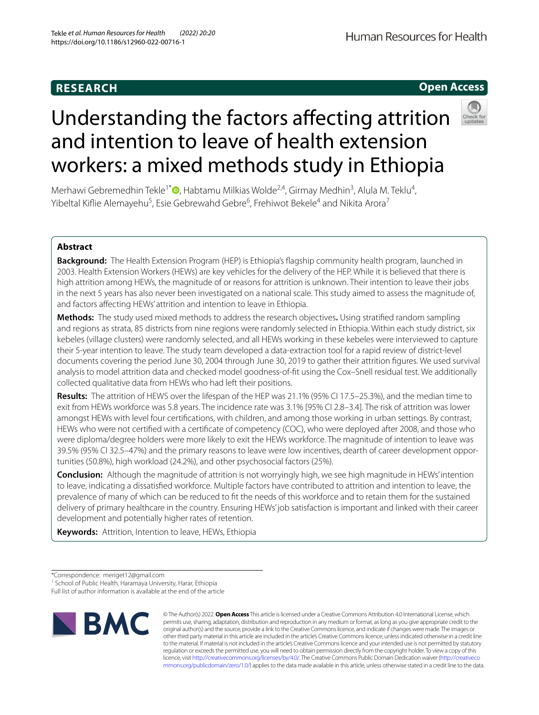# **Open Access**



# Understanding the factors afecting attrition and intention to leave of health extension workers: a mixed methods study in Ethiopia

Merhawi Gebremedhin Tekle<sup>1[\\*](http://orcid.org/0000-0003-4770-6361)</sup> (**D**, Habtamu Milkias Wolde<sup>2,4</sup>, Girmay Medhin<sup>3</sup>, Alula M. Teklu<sup>4</sup>, Yibeltal Kiflie Alemayehu<sup>5</sup>, Esie Gebrewahd Gebre<sup>6</sup>, Frehiwot Bekele<sup>4</sup> and Nikita Arora<sup>7</sup>

# **Abstract**

**Background:** The Health Extension Program (HEP) is Ethiopia's fagship community health program, launched in 2003. Health Extension Workers (HEWs) are key vehicles for the delivery of the HEP. While it is believed that there is high attrition among HEWs, the magnitude of or reasons for attrition is unknown. Their intention to leave their jobs in the next 5 years has also never been investigated on a national scale. This study aimed to assess the magnitude of, and factors afecting HEWs' attrition and intention to leave in Ethiopia.

**Methods:** The study used mixed methods to address the research objectives**.** Using stratifed random sampling and regions as strata, 85 districts from nine regions were randomly selected in Ethiopia. Within each study district, six kebeles (village clusters) were randomly selected, and all HEWs working in these kebeles were interviewed to capture their 5-year intention to leave. The study team developed a data-extraction tool for a rapid review of district-level documents covering the period June 30, 2004 through June 30, 2019 to gather their attrition fgures. We used survival analysis to model attrition data and checked model goodness-of-ft using the Cox–Snell residual test. We additionally collected qualitative data from HEWs who had left their positions.

**Results:** The attrition of HEWS over the lifespan of the HEP was 21.1% (95% CI 17.5–25.3%), and the median time to exit from HEWs workforce was 5.8 years. The incidence rate was 3.1% [95% CI 2.8–3.4]. The risk of attrition was lower amongst HEWs with level four certifcations, with children, and among those working in urban settings. By contrast, HEWs who were not certifed with a certifcate of competency (COC), who were deployed after 2008, and those who were diploma/degree holders were more likely to exit the HEWs workforce. The magnitude of intention to leave was 39.5% (95% CI 32.5–47%) and the primary reasons to leave were low incentives, dearth of career development opportunities (50.8%), high workload (24.2%), and other psychosocial factors (25%).

**Conclusion:** Although the magnitude of attrition is not worryingly high, we see high magnitude in HEWs' intention to leave, indicating a dissatisfed workforce. Multiple factors have contributed to attrition and intention to leave, the prevalence of many of which can be reduced to ft the needs of this workforce and to retain them for the sustained delivery of primary healthcare in the country. Ensuring HEWs' job satisfaction is important and linked with their career development and potentially higher rates of retention.

**Keywords:** Attrition, Intention to leave, HEWs, Ethiopia

Full list of author information is available at the end of the article



© The Author(s) 2022. **Open Access** This article is licensed under a Creative Commons Attribution 4.0 International License, which permits use, sharing, adaptation, distribution and reproduction in any medium or format, as long as you give appropriate credit to the original author(s) and the source, provide a link to the Creative Commons licence, and indicate if changes were made. The images or other third party material in this article are included in the article's Creative Commons licence, unless indicated otherwise in a credit line to the material. If material is not included in the article's Creative Commons licence and your intended use is not permitted by statutory regulation or exceeds the permitted use, you will need to obtain permission directly from the copyright holder. To view a copy of this licence, visit [http://creativecommons.org/licenses/by/4.0/.](http://creativecommons.org/licenses/by/4.0/) The Creative Commons Public Domain Dedication waiver ([http://creativeco](http://creativecommons.org/publicdomain/zero/1.0/) [mmons.org/publicdomain/zero/1.0/](http://creativecommons.org/publicdomain/zero/1.0/)) applies to the data made available in this article, unless otherwise stated in a credit line to the data.

<sup>\*</sup>Correspondence: meriget12@gmail.com

<sup>&</sup>lt;sup>1</sup> School of Public Health, Haramaya University, Harar, Ethiopia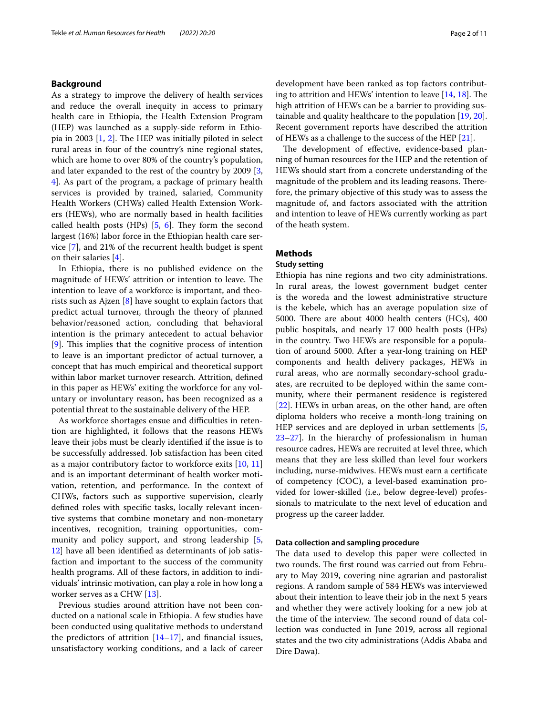# **Background**

As a strategy to improve the delivery of health services and reduce the overall inequity in access to primary health care in Ethiopia, the Health Extension Program (HEP) was launched as a supply-side reform in Ethio-pia in [2](#page-9-1)003  $[1, 2]$  $[1, 2]$  $[1, 2]$ . The HEP was initially piloted in select rural areas in four of the country's nine regional states, which are home to over 80% of the country's population, and later expanded to the rest of the country by 2009 [\[3](#page-9-2), [4\]](#page-9-3). As part of the program, a package of primary health services is provided by trained, salaried, Community Health Workers (CHWs) called Health Extension Workers (HEWs), who are normally based in health facilities called health posts (HPs)  $[5, 6]$  $[5, 6]$  $[5, 6]$  $[5, 6]$ . They form the second largest (16%) labor force in the Ethiopian health care service [[7\]](#page-9-6), and 21% of the recurrent health budget is spent on their salaries [[4\]](#page-9-3).

In Ethiopia, there is no published evidence on the magnitude of HEWs' attrition or intention to leave. The intention to leave of a workforce is important, and theorists such as Ajzen [\[8](#page-9-7)] have sought to explain factors that predict actual turnover, through the theory of planned behavior/reasoned action, concluding that behavioral intention is the primary antecedent to actual behavior [[9\]](#page-9-8). This implies that the cognitive process of intention to leave is an important predictor of actual turnover, a concept that has much empirical and theoretical support within labor market turnover research. Attrition, defned in this paper as HEWs' exiting the workforce for any voluntary or involuntary reason, has been recognized as a potential threat to the sustainable delivery of the HEP.

As workforce shortages ensue and difficulties in retention are highlighted, it follows that the reasons HEWs leave their jobs must be clearly identifed if the issue is to be successfully addressed. Job satisfaction has been cited as a major contributory factor to workforce exits [[10,](#page-9-9) [11](#page-9-10)] and is an important determinant of health worker motivation, retention, and performance. In the context of CHWs, factors such as supportive supervision, clearly defned roles with specifc tasks, locally relevant incentive systems that combine monetary and non-monetary incentives, recognition, training opportunities, community and policy support, and strong leadership [\[5](#page-9-4), [12\]](#page-10-0) have all been identifed as determinants of job satisfaction and important to the success of the community health programs. All of these factors, in addition to individuals' intrinsic motivation, can play a role in how long a worker serves as a CHW [[13\]](#page-10-1).

Previous studies around attrition have not been conducted on a national scale in Ethiopia. A few studies have been conducted using qualitative methods to understand the predictors of attrition  $[14–17]$  $[14–17]$  $[14–17]$  $[14–17]$ , and financial issues, unsatisfactory working conditions, and a lack of career development have been ranked as top factors contributing to attrition and HEWs' intention to leave  $[14, 18]$  $[14, 18]$  $[14, 18]$  $[14, 18]$ . The high attrition of HEWs can be a barrier to providing sustainable and quality healthcare to the population [[19,](#page-10-5) [20](#page-10-6)]. Recent government reports have described the attrition of HEWs as a challenge to the success of the HEP [\[21\]](#page-10-7).

The development of effective, evidence-based planning of human resources for the HEP and the retention of HEWs should start from a concrete understanding of the magnitude of the problem and its leading reasons. Therefore, the primary objective of this study was to assess the magnitude of, and factors associated with the attrition and intention to leave of HEWs currently working as part of the heath system.

# **Methods**

#### **Study setting**

Ethiopia has nine regions and two city administrations. In rural areas, the lowest government budget center is the woreda and the lowest administrative structure is the kebele, which has an average population size of 5000. There are about  $4000$  health centers (HCs),  $400$ public hospitals, and nearly 17 000 health posts (HPs) in the country. Two HEWs are responsible for a population of around 5000. After a year-long training on HEP components and health delivery packages, HEWs in rural areas, who are normally secondary-school graduates, are recruited to be deployed within the same community, where their permanent residence is registered [[22\]](#page-10-8). HEWs in urban areas, on the other hand, are often diploma holders who receive a month-long training on HEP services and are deployed in urban settlements [\[5](#page-9-4), [23](#page-10-9)[–27](#page-10-10)]. In the hierarchy of professionalism in human resource cadres, HEWs are recruited at level three, which means that they are less skilled than level four workers including, nurse-midwives. HEWs must earn a certifcate of competency (COC), a level-based examination provided for lower-skilled (i.e., below degree-level) professionals to matriculate to the next level of education and progress up the career ladder.

#### **Data collection and sampling procedure**

The data used to develop this paper were collected in two rounds. The first round was carried out from February to May 2019, covering nine agrarian and pastoralist regions. A random sample of 584 HEWs was interviewed about their intention to leave their job in the next 5 years and whether they were actively looking for a new job at the time of the interview. The second round of data collection was conducted in June 2019, across all regional states and the two city administrations (Addis Ababa and Dire Dawa).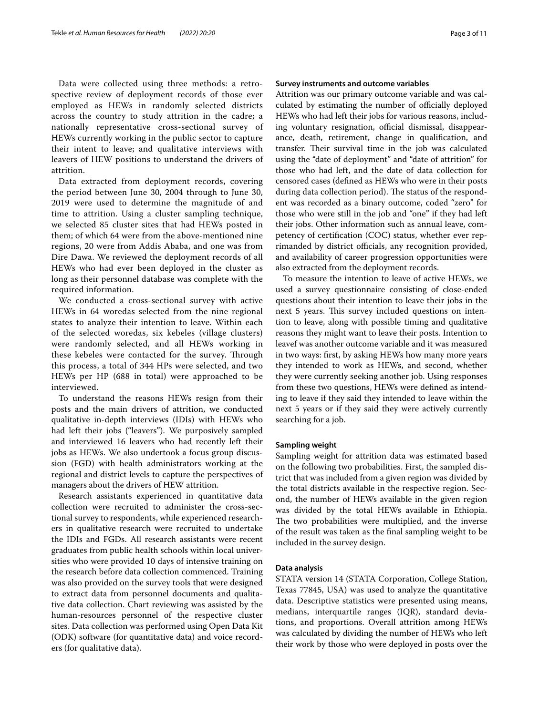Data were collected using three methods: a retrospective review of deployment records of those ever employed as HEWs in randomly selected districts across the country to study attrition in the cadre; a nationally representative cross-sectional survey of HEWs currently working in the public sector to capture their intent to leave; and qualitative interviews with leavers of HEW positions to understand the drivers of attrition.

Data extracted from deployment records, covering the period between June 30, 2004 through to June 30, 2019 were used to determine the magnitude of and time to attrition. Using a cluster sampling technique, we selected 85 cluster sites that had HEWs posted in them; of which 64 were from the above-mentioned nine regions, 20 were from Addis Ababa, and one was from Dire Dawa. We reviewed the deployment records of all HEWs who had ever been deployed in the cluster as long as their personnel database was complete with the required information.

We conducted a cross-sectional survey with active HEWs in 64 woredas selected from the nine regional states to analyze their intention to leave. Within each of the selected woredas, six kebeles (village clusters) were randomly selected, and all HEWs working in these kebeles were contacted for the survey. Through this process, a total of 344 HPs were selected, and two HEWs per HP (688 in total) were approached to be interviewed.

To understand the reasons HEWs resign from their posts and the main drivers of attrition, we conducted qualitative in-depth interviews (IDIs) with HEWs who had left their jobs ("leavers"). We purposively sampled and interviewed 16 leavers who had recently left their jobs as HEWs. We also undertook a focus group discussion (FGD) with health administrators working at the regional and district levels to capture the perspectives of managers about the drivers of HEW attrition.

Research assistants experienced in quantitative data collection were recruited to administer the cross-sectional survey to respondents, while experienced researchers in qualitative research were recruited to undertake the IDIs and FGDs. All research assistants were recent graduates from public health schools within local universities who were provided 10 days of intensive training on the research before data collection commenced. Training was also provided on the survey tools that were designed to extract data from personnel documents and qualitative data collection. Chart reviewing was assisted by the human-resources personnel of the respective cluster sites. Data collection was performed using Open Data Kit (ODK) software (for quantitative data) and voice recorders (for qualitative data).

#### **Survey instruments and outcome variables**

Attrition was our primary outcome variable and was calculated by estimating the number of officially deployed HEWs who had left their jobs for various reasons, including voluntary resignation, official dismissal, disappearance, death, retirement, change in qualifcation, and transfer. Their survival time in the job was calculated using the "date of deployment" and "date of attrition" for those who had left, and the date of data collection for censored cases (defned as HEWs who were in their posts during data collection period). The status of the respondent was recorded as a binary outcome, coded "zero" for those who were still in the job and "one" if they had left their jobs. Other information such as annual leave, competency of certifcation (COC) status, whether ever reprimanded by district officials, any recognition provided, and availability of career progression opportunities were also extracted from the deployment records.

To measure the intention to leave of active HEWs, we used a survey questionnaire consisting of close-ended questions about their intention to leave their jobs in the next 5 years. This survey included questions on intention to leave, along with possible timing and qualitative reasons they might want to leave their posts. Intention to leavef was another outcome variable and it was measured in two ways: frst, by asking HEWs how many more years they intended to work as HEWs, and second, whether they were currently seeking another job. Using responses from these two questions, HEWs were defned as intending to leave if they said they intended to leave within the next 5 years or if they said they were actively currently searching for a job.

#### **Sampling weight**

Sampling weight for attrition data was estimated based on the following two probabilities. First, the sampled district that was included from a given region was divided by the total districts available in the respective region. Second, the number of HEWs available in the given region was divided by the total HEWs available in Ethiopia. The two probabilities were multiplied, and the inverse of the result was taken as the fnal sampling weight to be included in the survey design.

#### **Data analysis**

STATA version 14 (STATA Corporation, College Station, Texas 77845, USA) was used to analyze the quantitative data. Descriptive statistics were presented using means, medians, interquartile ranges (IQR), standard deviations, and proportions. Overall attrition among HEWs was calculated by dividing the number of HEWs who left their work by those who were deployed in posts over the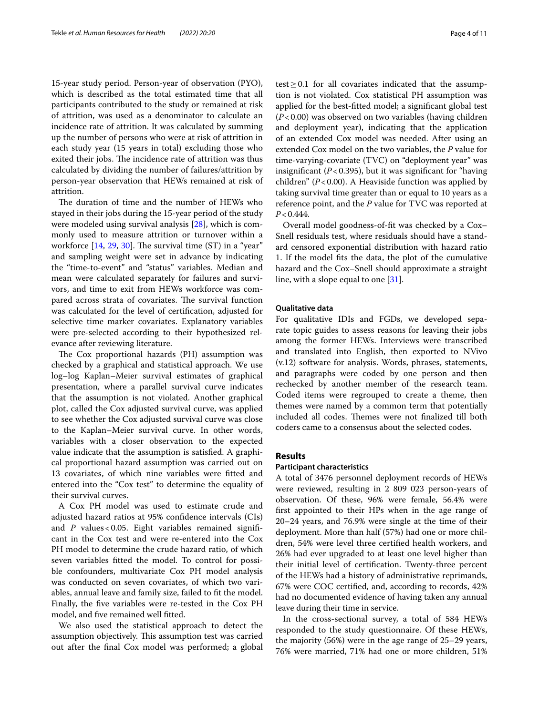15-year study period. Person-year of observation (PYO), which is described as the total estimated time that all participants contributed to the study or remained at risk of attrition, was used as a denominator to calculate an incidence rate of attrition. It was calculated by summing up the number of persons who were at risk of attrition in each study year (15 years in total) excluding those who exited their jobs. The incidence rate of attrition was thus calculated by dividing the number of failures/attrition by person-year observation that HEWs remained at risk of attrition.

The duration of time and the number of HEWs who stayed in their jobs during the 15-year period of the study were modeled using survival analysis [[28](#page-10-11)], which is commonly used to measure attrition or turnover within a workforce  $[14, 29, 30]$  $[14, 29, 30]$  $[14, 29, 30]$  $[14, 29, 30]$  $[14, 29, 30]$  $[14, 29, 30]$ . The survival time  $(ST)$  in a "year" and sampling weight were set in advance by indicating the "time-to-event" and "status" variables. Median and mean were calculated separately for failures and survivors, and time to exit from HEWs workforce was compared across strata of covariates. The survival function was calculated for the level of certifcation, adjusted for selective time marker covariates. Explanatory variables were pre-selected according to their hypothesized relevance after reviewing literature.

The Cox proportional hazards (PH) assumption was checked by a graphical and statistical approach. We use log–log Kaplan–Meier survival estimates of graphical presentation, where a parallel survival curve indicates that the assumption is not violated. Another graphical plot, called the Cox adjusted survival curve, was applied to see whether the Cox adjusted survival curve was close to the Kaplan–Meier survival curve. In other words, variables with a closer observation to the expected value indicate that the assumption is satisfed. A graphical proportional hazard assumption was carried out on 13 covariates, of which nine variables were ftted and entered into the "Cox test" to determine the equality of their survival curves.

A Cox PH model was used to estimate crude and adjusted hazard ratios at 95% confdence intervals (CIs) and *P* values < 0.05. Eight variables remained significant in the Cox test and were re-entered into the Cox PH model to determine the crude hazard ratio, of which seven variables ftted the model. To control for possible confounders, multivariate Cox PH model analysis was conducted on seven covariates, of which two variables, annual leave and family size, failed to ft the model. Finally, the fve variables were re-tested in the Cox PH model, and fve remained well ftted.

We also used the statistical approach to detect the assumption objectively. This assumption test was carried out after the fnal Cox model was performed; a global test $\geq$  0.1 for all covariates indicated that the assumption is not violated. Cox statistical PH assumption was applied for the best-ftted model; a signifcant global test (*P*<0.00) was observed on two variables (having children and deployment year), indicating that the application of an extended Cox model was needed. After using an extended Cox model on the two variables, the *P* value for time-varying-covariate (TVC) on "deployment year" was insignifcant (*P*<0.395), but it was signifcant for "having

children"  $(P<0.00)$ . A Heaviside function was applied by taking survival time greater than or equal to 10 years as a reference point, and the *P* value for TVC was reported at *P*<0.444.

Overall model goodness-of-ft was checked by a Cox– Snell residuals test, where residuals should have a standard censored exponential distribution with hazard ratio 1. If the model fts the data, the plot of the cumulative hazard and the Cox–Snell should approximate a straight line, with a slope equal to one [[31\]](#page-10-14).

#### **Qualitative data**

For qualitative IDIs and FGDs, we developed separate topic guides to assess reasons for leaving their jobs among the former HEWs. Interviews were transcribed and translated into English, then exported to NVivo (v.12) software for analysis. Words, phrases, statements, and paragraphs were coded by one person and then rechecked by another member of the research team. Coded items were regrouped to create a theme, then themes were named by a common term that potentially included all codes. Themes were not finalized till both coders came to a consensus about the selected codes.

# **Results**

# **Participant characteristics**

A total of 3476 personnel deployment records of HEWs were reviewed, resulting in 2 809 023 person-years of observation. Of these, 96% were female, 56.4% were frst appointed to their HPs when in the age range of 20–24 years, and 76.9% were single at the time of their deployment. More than half (57%) had one or more children, 54% were level three certifed health workers, and 26% had ever upgraded to at least one level higher than their initial level of certifcation. Twenty-three percent of the HEWs had a history of administrative reprimands, 67% were COC certifed, and, according to records, 42% had no documented evidence of having taken any annual leave during their time in service.

In the cross-sectional survey, a total of 584 HEWs responded to the study questionnaire. Of these HEWs, the majority (56%) were in the age range of 25–29 years, 76% were married, 71% had one or more children, 51%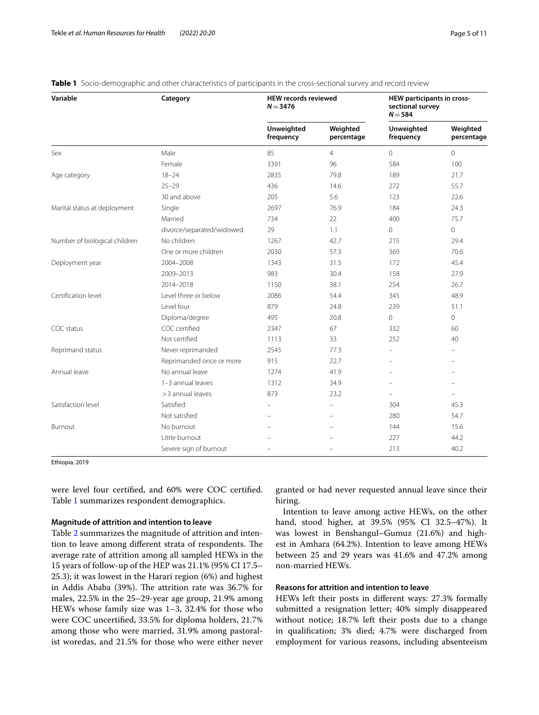| Variable                      | Category                  | <b>HEW records reviewed</b><br>$N = 3476$ |                          | HEW participants in cross-<br>sectional survey<br>$N = 584$ |                        |
|-------------------------------|---------------------------|-------------------------------------------|--------------------------|-------------------------------------------------------------|------------------------|
|                               |                           | Unweighted<br>frequency                   | Weighted<br>percentage   | Unweighted<br>frequency                                     | Weighted<br>percentage |
| Sex                           | Male                      | 85                                        | $\overline{4}$           | $\Omega$                                                    | $\Omega$               |
|                               | Female                    | 3391                                      | 96                       | 584                                                         | 100                    |
| Age category                  | $18 - 24$                 | 2835                                      | 79.8                     | 189                                                         | 21.7                   |
|                               | $25 - 29$                 | 436                                       | 14.6                     | 272                                                         | 55.7                   |
|                               | 30 and above              | 205                                       | 5.6                      | 123                                                         | 22.6                   |
| Marital status at deployment  | Single                    | 2697                                      | 76.9                     | 184                                                         | 24.3                   |
|                               | Married                   | 734                                       | 22                       | 400                                                         | 75.7                   |
|                               | divorce/separated/widowed | 29                                        | 1.1                      | 0                                                           | 0                      |
| Number of biological children | No children               | 1267                                      | 42.7                     | 215                                                         | 29.4                   |
|                               | One or more children      | 2030                                      | 57.3                     | 369                                                         | 70.6                   |
| Deployment year               | 2004-2008                 | 1343                                      | 31.5                     | 172                                                         | 45.4                   |
|                               | 2009-2013                 | 983                                       | 30.4                     | 158                                                         | 27.9                   |
|                               | 2014-2018                 | 1150                                      | 38.1                     | 254                                                         | 26.7                   |
| Certification level           | Level three or below      | 2086                                      | 54.4                     | 345                                                         | 48.9                   |
|                               | Level four                | 879                                       | 24.8                     | 239                                                         | 51.1                   |
|                               | Diploma/degree            | 495                                       | 20.8                     | 0                                                           | 0                      |
| COC status                    | COC certified             | 2347                                      | 67                       | 332                                                         | 60                     |
|                               | Not certified             | 1113                                      | 33                       | 252                                                         | 40                     |
| Reprimand status              | Never reprimanded         | 2545                                      | 77.3                     | $\equiv$                                                    |                        |
|                               | Reprimanded once or more  | 915                                       | 22.7                     | $\overline{\phantom{0}}$                                    | $\equiv$               |
| Annual leave                  | No annual leave           | 1274                                      | 41.9                     | ÷                                                           | $\equiv$               |
|                               | 1-3 annual leaves         | 1312                                      | 34.9                     | $\overline{\phantom{0}}$                                    |                        |
|                               | > 3 annual leaves         | 873                                       | 23.2                     | $\equiv$                                                    | $\equiv$               |
| Satisfaction level            | Satisfied                 | $\equiv$                                  | ÷                        | 304                                                         | 45.3                   |
|                               | Not satisfied             | $\equiv$                                  | $\overline{\phantom{0}}$ | 280                                                         | 54.7                   |
| Burnout                       | No burnout                |                                           |                          | 144                                                         | 15.6                   |
|                               | Little burnout            |                                           |                          | 227                                                         | 44.2                   |
|                               | Severe sign of burnout    | $\equiv$                                  |                          | 213                                                         | 40.2                   |

# <span id="page-4-0"></span>**Table 1** Socio-demographic and other characteristics of participants in the cross-sectional survey and record review

Ethiopia, 2019

were level four certifed, and 60% were COC certifed. Table [1](#page-4-0) summarizes respondent demographics.

# **Magnitude of attrition and intention to leave**

Table [2](#page-5-0) summarizes the magnitude of attrition and intention to leave among different strata of respondents. The average rate of attrition among all sampled HEWs in the 15 years of follow-up of the HEP was 21.1% (95% CI 17.5– 25.3); it was lowest in the Harari region (6%) and highest in Addis Ababa (39%). The attrition rate was 36.7% for males, 22.5% in the 25–29-year age group, 21.9% among HEWs whose family size was 1–3, 32.4% for those who were COC uncertifed, 33.5% for diploma holders, 21.7% among those who were married, 31.9% among pastoralist woredas, and 21.5% for those who were either never

granted or had never requested annual leave since their hiring.

Intention to leave among active HEWs, on the other hand, stood higher, at 39.5% (95% CI 32.5–47%). It was lowest in Benshangul–Gumuz (21.6%) and highest in Amhara (64.2%). Intention to leave among HEWs between 25 and 29 years was 41.6% and 47.2% among non-married HEWs.

## **Reasons for attrition and intention to leave**

HEWs left their posts in diferent ways: 27.3% formally submitted a resignation letter; 40% simply disappeared without notice; 18.7% left their posts due to a change in qualifcation; 3% died; 4.7% were discharged from employment for various reasons, including absenteeism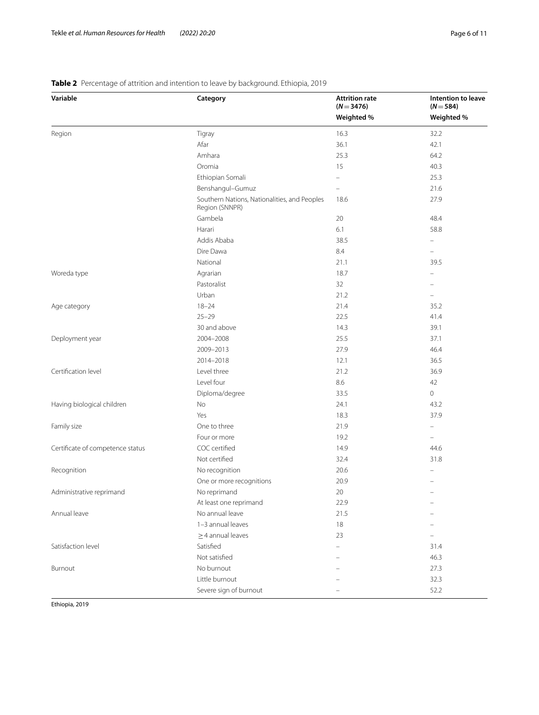| Variable                         | Category                                                       | <b>Attrition rate</b><br>$(N = 3476)$ | Intention to leave<br>$(N = 584)$ |  |
|----------------------------------|----------------------------------------------------------------|---------------------------------------|-----------------------------------|--|
|                                  |                                                                | Weighted %                            | Weighted %                        |  |
| Region                           | Tigray                                                         | 16.3                                  | 32.2                              |  |
|                                  | Afar                                                           | 36.1                                  | 42.1                              |  |
|                                  | Amhara                                                         | 25.3                                  | 64.2                              |  |
|                                  | Oromia                                                         | 15                                    | 40.3                              |  |
|                                  | Ethiopian Somali                                               |                                       | 25.3                              |  |
|                                  | Benshangul-Gumuz                                               | $\qquad \qquad -$                     | 21.6                              |  |
|                                  | Southern Nations, Nationalities, and Peoples<br>Region (SNNPR) | 18.6                                  | 27.9                              |  |
|                                  | Gambela                                                        | 20                                    | 48.4                              |  |
|                                  | Harari                                                         | 6.1                                   | 58.8                              |  |
|                                  | Addis Ababa                                                    | 38.5                                  |                                   |  |
|                                  | Dire Dawa                                                      | 8.4                                   | $\qquad \qquad -$                 |  |
|                                  | National                                                       | 21.1                                  | 39.5                              |  |
| Woreda type                      | Agrarian                                                       | 18.7                                  |                                   |  |
|                                  | Pastoralist                                                    | 32                                    |                                   |  |
|                                  | Urban                                                          | 21.2                                  | L,                                |  |
| Age category                     | $18 - 24$                                                      | 21.4                                  | 35.2                              |  |
|                                  | $25 - 29$                                                      | 22.5                                  | 41.4                              |  |
|                                  | 30 and above                                                   | 14.3                                  | 39.1                              |  |
| Deployment year                  | 2004-2008                                                      | 25.5                                  | 37.1                              |  |
|                                  | 2009-2013                                                      | 27.9                                  | 46.4                              |  |
|                                  | 2014-2018                                                      | 12.1                                  | 36.5                              |  |
| Certification level              | Level three                                                    | 21.2                                  | 36.9                              |  |
|                                  | Level four                                                     | 8.6                                   | 42                                |  |
|                                  | Diploma/degree                                                 | 33.5                                  | $\circ$                           |  |
| Having biological children       | No                                                             | 24.1                                  | 43.2                              |  |
|                                  | Yes                                                            | 18.3                                  | 37.9                              |  |
| Family size                      | One to three                                                   | 21.9                                  | $\overline{\phantom{0}}$          |  |
|                                  | Four or more                                                   | 19.2                                  | $\equiv$                          |  |
| Certificate of competence status | COC certified                                                  | 14.9                                  | 44.6                              |  |
|                                  | Not certified                                                  | 32.4                                  | 31.8                              |  |
| Recognition                      | No recognition                                                 | 20.6                                  |                                   |  |
|                                  | One or more recognitions                                       | 20.9                                  |                                   |  |
| Administrative reprimand         | No reprimand                                                   | 20                                    |                                   |  |
|                                  | At least one reprimand                                         | 22.9                                  |                                   |  |
| Annual leave                     | No annual leave                                                | 21.5                                  |                                   |  |
|                                  | 1-3 annual leaves                                              | 18                                    |                                   |  |
|                                  | $\geq$ 4 annual leaves                                         | 23                                    |                                   |  |
| Satisfaction level               | Satisfied                                                      |                                       | 31.4                              |  |
|                                  | Not satisfied                                                  |                                       | 46.3                              |  |
| Burnout                          | No burnout                                                     |                                       | 27.3                              |  |
|                                  | Little burnout                                                 |                                       | 32.3                              |  |
|                                  | Severe sign of burnout                                         |                                       | 52.2                              |  |
|                                  |                                                                |                                       |                                   |  |

# <span id="page-5-0"></span>**Table 2** Percentage of attrition and intention to leave by background. Ethiopia, 2019

Ethiopia, 2019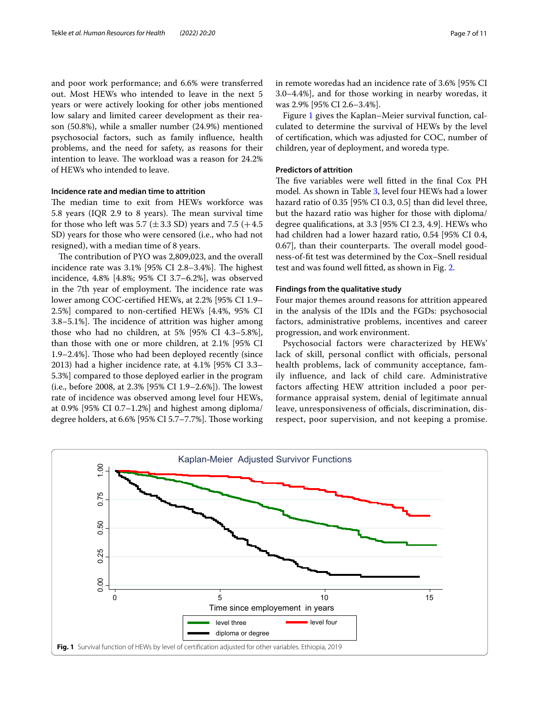and poor work performance; and 6.6% were transferred out. Most HEWs who intended to leave in the next 5 years or were actively looking for other jobs mentioned low salary and limited career development as their reason (50.8%), while a smaller number (24.9%) mentioned psychosocial factors, such as family infuence, health problems, and the need for safety, as reasons for their intention to leave. The workload was a reason for 24.2% of HEWs who intended to leave.

# **Incidence rate and median time to attrition**

The median time to exit from HEWs workforce was 5.8 years (IQR 2.9 to 8 years). The mean survival time for those who left was 5.7 ( $\pm$ 3.3 SD) years and 7.5 ( $+4.5$ ) SD) years for those who were censored (i.e., who had not resigned), with a median time of 8 years.

The contribution of PYO was 2,809,023, and the overall incidence rate was  $3.1\%$  [95% CI 2.8–3.4%]. The highest incidence, 4.8% [4.8%; 95% CI 3.7–6.2%], was observed in the 7th year of employment. The incidence rate was lower among COC-certifed HEWs, at 2.2% [95% CI 1.9– 2.5%] compared to non-certifed HEWs [4.4%, 95% CI 3.8–5.1%]. The incidence of attrition was higher among those who had no children, at 5% [95% CI 4.3–5.8%], than those with one or more children, at 2.1% [95% CI 1.9–2.4%]. Those who had been deployed recently (since 2013) had a higher incidence rate, at 4.1% [95% CI 3.3– 5.3%] compared to those deployed earlier in the program (i.e., before 2008, at  $2.3\%$  [95% CI 1.9–2.6%]). The lowest rate of incidence was observed among level four HEWs, at 0.9% [95% CI 0.7–1.2%] and highest among diploma/ degree holders, at 6.6% [95% CI 5.7-7.7%]. Those working in remote woredas had an incidence rate of 3.6% [95% CI 3.0–4.4%], and for those working in nearby woredas, it was 2.9% [95% CI 2.6–3.4%].

Figure [1](#page-6-0) gives the Kaplan–Meier survival function, calculated to determine the survival of HEWs by the level of certifcation, which was adjusted for COC, number of children, year of deployment, and woreda type.

# **Predictors of attrition**

The five variables were well fitted in the final Cox PH model. As shown in Table [3,](#page-7-0) level four HEWs had a lower hazard ratio of 0.35 [95% CI 0.3, 0.5] than did level three, but the hazard ratio was higher for those with diploma/ degree qualifcations, at 3.3 [95% CI 2.3, 4.9]. HEWs who had children had a lower hazard ratio, 0.54 [95% CI 0.4, 0.67], than their counterparts. The overall model goodness-of-ft test was determined by the Cox–Snell residual test and was found well ftted, as shown in Fig. [2.](#page-7-1)

#### **Findings from the qualitative study**

Four major themes around reasons for attrition appeared in the analysis of the IDIs and the FGDs: psychosocial factors, administrative problems, incentives and career progression, and work environment.

Psychosocial factors were characterized by HEWs' lack of skill, personal conflict with officials, personal health problems, lack of community acceptance, family infuence, and lack of child care. Administrative factors afecting HEW attrition included a poor performance appraisal system, denial of legitimate annual leave, unresponsiveness of officials, discrimination, disrespect, poor supervision, and not keeping a promise.

<span id="page-6-0"></span>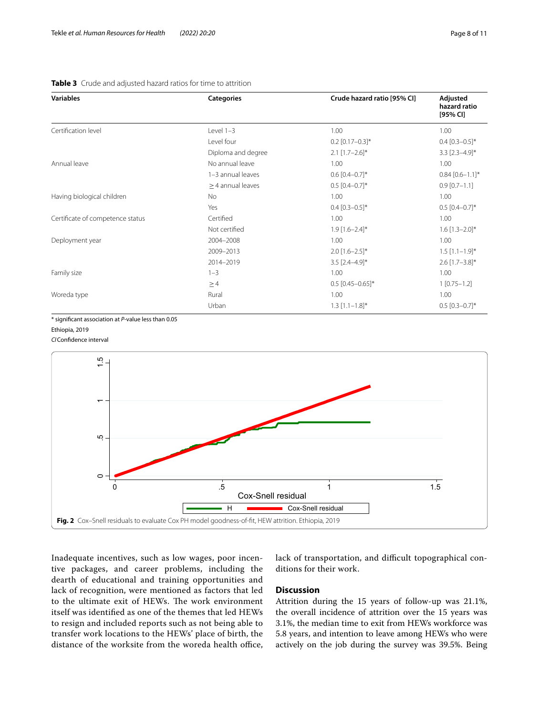<span id="page-7-0"></span>

| Variables                        | <b>Categories</b>      | Crude hazard ratio [95% CI] | Adjusted<br>hazard ratio<br>[95% CI] |  |
|----------------------------------|------------------------|-----------------------------|--------------------------------------|--|
| Certification level              | Level $1-3$            | 1.00                        | 1.00                                 |  |
|                                  | Level four             | $0.2$ [0.17-0.3]*           | $0.4$ [0.3-0.5]*                     |  |
|                                  | Diploma and degree     | $2.1$ [1.7-2.6]*            | $3.3$ $[2.3 - 4.9]$ *                |  |
| Annual leave                     | No annual leave        | 1.00                        | 1.00                                 |  |
|                                  | 1-3 annual leaves      | $0.6$ [0.4-0.7]*            | $0.84$ $[0.6-1.1]$ *                 |  |
|                                  | $\geq$ 4 annual leaves | $0.5$ [0.4-0.7]*            | $0.9$ [0.7-1.1]                      |  |
| Having biological children       | No                     | 1.00                        | 1.00                                 |  |
|                                  | Yes                    | $0.4$ [0.3-0.5]*            | $0.5$ [0.4-0.7]*                     |  |
| Certificate of competence status | Certified              | 1.00                        | 1.00                                 |  |
|                                  | Not certified          | $1.9$ [1.6-2.4]*            | $1.6$ [1.3-2.0]*                     |  |
| Deployment year                  | 2004-2008              | 1.00                        | 1.00                                 |  |
|                                  | 2009-2013              | $2.0$ [1.6-2.5]*            | $1.5$ [1.1-1.9]*                     |  |
|                                  | 2014-2019              | $3.5$ [2.4-4.9]*            | $2.6$ [1.7-3.8]*                     |  |
| Family size                      | $1 - 3$                | 1.00                        | 1.00                                 |  |
|                                  | $\geq$ 4               | $0.5$ $[0.45 - 0.65]$ *     | $1$ [0.75 - 1.2]                     |  |
|                                  |                        |                             |                                      |  |

Urban  $1.3 [1.1-1.8]^*$  0.5  $[0.3-0.7]^*$ 

Woreda type and the Rural Contract of Rural and the Rural 1.00 to the Rural Contract of the Rural Contract of the Rural Contract of the Rural Contract of the Rural Contract of the Rural Contract of the Rural Contract of th

\* signifcant association at *P*-value less than 0.05

Ethiopia, 2019

*CI*Confdence interval



<span id="page-7-1"></span>Inadequate incentives, such as low wages, poor incentive packages, and career problems, including the dearth of educational and training opportunities and lack of recognition, were mentioned as factors that led to the ultimate exit of HEWs. The work environment itself was identifed as one of the themes that led HEWs to resign and included reports such as not being able to transfer work locations to the HEWs' place of birth, the distance of the worksite from the woreda health office, lack of transportation, and difficult topographical conditions for their work.

# **Discussion**

Attrition during the 15 years of follow-up was 21.1%, the overall incidence of attrition over the 15 years was 3.1%, the median time to exit from HEWs workforce was 5.8 years, and intention to leave among HEWs who were actively on the job during the survey was 39.5%. Being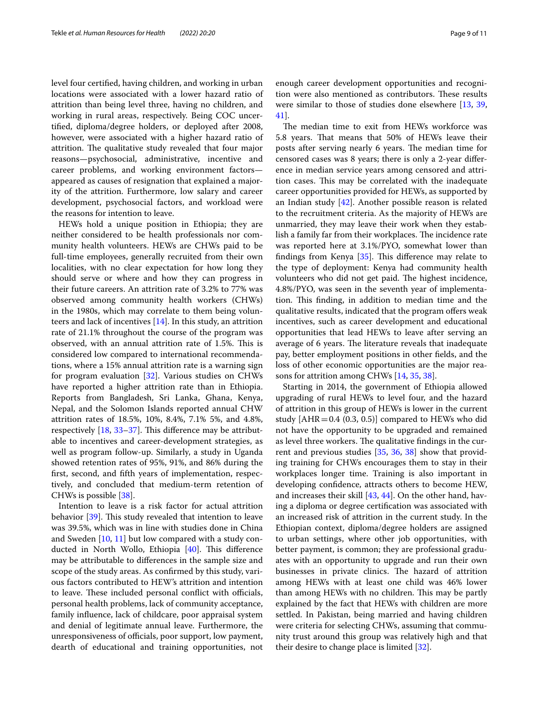level four certifed, having children, and working in urban locations were associated with a lower hazard ratio of attrition than being level three, having no children, and working in rural areas, respectively. Being COC uncertifed, diploma/degree holders, or deployed after 2008, however, were associated with a higher hazard ratio of attrition. The qualitative study revealed that four major reasons—psychosocial, administrative, incentive and career problems, and working environment factors appeared as causes of resignation that explained a majority of the attrition. Furthermore, low salary and career development, psychosocial factors, and workload were the reasons for intention to leave.

HEWs hold a unique position in Ethiopia; they are neither considered to be health professionals nor community health volunteers. HEWs are CHWs paid to be full-time employees, generally recruited from their own localities, with no clear expectation for how long they should serve or where and how they can progress in their future careers. An attrition rate of 3.2% to 77% was observed among community health workers (CHWs) in the 1980s, which may correlate to them being volunteers and lack of incentives  $[14]$ . In this study, an attrition rate of 21.1% throughout the course of the program was observed, with an annual attrition rate of 1.5%. This is considered low compared to international recommendations, where a 15% annual attrition rate is a warning sign for program evaluation [\[32](#page-10-15)]. Various studies on CHWs have reported a higher attrition rate than in Ethiopia. Reports from Bangladesh, Sri Lanka, Ghana, Kenya, Nepal, and the Solomon Islands reported annual CHW attrition rates of 18.5%, 10%, 8.4%, 7.1% 5%, and 4.8%, respectively  $[18, 33-37]$  $[18, 33-37]$  $[18, 33-37]$ . This difference may be attributable to incentives and career-development strategies, as well as program follow-up. Similarly, a study in Uganda showed retention rates of 95%, 91%, and 86% during the frst, second, and ffth years of implementation, respectively, and concluded that medium-term retention of CHWs is possible [[38\]](#page-10-18).

Intention to leave is a risk factor for actual attrition behavior  $[39]$  $[39]$ . This study revealed that intention to leave was 39.5%, which was in line with studies done in China and Sweden [[10,](#page-9-9) [11](#page-9-10)] but low compared with a study conducted in North Wollo, Ethiopia  $[40]$  $[40]$ . This difference may be attributable to diferences in the sample size and scope of the study areas. As confrmed by this study, various factors contributed to HEW's attrition and intention to leave. These included personal conflict with officials, personal health problems, lack of community acceptance, family infuence, lack of childcare, poor appraisal system and denial of legitimate annual leave. Furthermore, the unresponsiveness of officials, poor support, low payment, dearth of educational and training opportunities, not enough career development opportunities and recognition were also mentioned as contributors. These results were similar to those of studies done elsewhere [[13,](#page-10-1) [39](#page-10-19), [41\]](#page-10-21).

The median time to exit from HEWs workforce was 5.8 years. That means that 50% of HEWs leave their posts after serving nearly 6 years. The median time for censored cases was 8 years; there is only a 2-year diference in median service years among censored and attrition cases. This may be correlated with the inadequate career opportunities provided for HEWs, as supported by an Indian study [[42\]](#page-10-22). Another possible reason is related to the recruitment criteria. As the majority of HEWs are unmarried, they may leave their work when they establish a family far from their workplaces. The incidence rate was reported here at 3.1%/PYO, somewhat lower than findings from Kenya  $[35]$  $[35]$ . This difference may relate to the type of deployment: Kenya had community health volunteers who did not get paid. The highest incidence, 4.8%/PYO, was seen in the seventh year of implementation. This finding, in addition to median time and the qualitative results, indicated that the program ofers weak incentives, such as career development and educational opportunities that lead HEWs to leave after serving an average of 6 years. The literature reveals that inadequate pay, better employment positions in other felds, and the loss of other economic opportunities are the major reasons for attrition among CHWs [[14,](#page-10-2) [35](#page-10-23), [38](#page-10-18)].

Starting in 2014, the government of Ethiopia allowed upgrading of rural HEWs to level four, and the hazard of attrition in this group of HEWs is lower in the current study  $[AHR=0.4 (0.3, 0.5)]$  compared to HEWs who did not have the opportunity to be upgraded and remained as level three workers. The qualitative findings in the current and previous studies [[35,](#page-10-23) [36](#page-10-24), [38\]](#page-10-18) show that providing training for CHWs encourages them to stay in their workplaces longer time. Training is also important in developing confdence, attracts others to become HEW, and increases their skill [[43,](#page-10-25) [44](#page-10-26)]. On the other hand, having a diploma or degree certifcation was associated with an increased risk of attrition in the current study. In the Ethiopian context, diploma/degree holders are assigned to urban settings, where other job opportunities, with better payment, is common; they are professional graduates with an opportunity to upgrade and run their own businesses in private clinics. The hazard of attrition among HEWs with at least one child was 46% lower than among HEWs with no children. This may be partly explained by the fact that HEWs with children are more settled. In Pakistan, being married and having children were criteria for selecting CHWs, assuming that community trust around this group was relatively high and that their desire to change place is limited [[32\]](#page-10-15).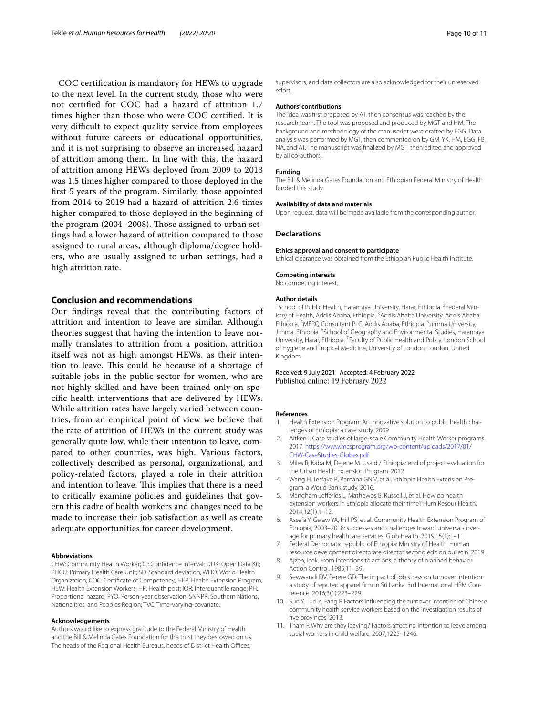COC certifcation is mandatory for HEWs to upgrade to the next level. In the current study, those who were not certifed for COC had a hazard of attrition 1.7 times higher than those who were COC certifed. It is very difficult to expect quality service from employees without future careers or educational opportunities, and it is not surprising to observe an increased hazard of attrition among them. In line with this, the hazard of attrition among HEWs deployed from 2009 to 2013 was 1.5 times higher compared to those deployed in the frst 5 years of the program. Similarly, those appointed from 2014 to 2019 had a hazard of attrition 2.6 times higher compared to those deployed in the beginning of the program (2004–2008). Those assigned to urban settings had a lower hazard of attrition compared to those assigned to rural areas, although diploma/degree holders, who are usually assigned to urban settings, had a high attrition rate.

# **Conclusion and recommendations**

Our fndings reveal that the contributing factors of attrition and intention to leave are similar. Although theories suggest that having the intention to leave normally translates to attrition from a position, attrition itself was not as high amongst HEWs, as their intention to leave. This could be because of a shortage of suitable jobs in the public sector for women, who are not highly skilled and have been trained only on specifc health interventions that are delivered by HEWs. While attrition rates have largely varied between countries, from an empirical point of view we believe that the rate of attrition of HEWs in the current study was generally quite low, while their intention to leave, compared to other countries, was high. Various factors, collectively described as personal, organizational, and policy-related factors, played a role in their attrition and intention to leave. This implies that there is a need to critically examine policies and guidelines that govern this cadre of health workers and changes need to be made to increase their job satisfaction as well as create adequate opportunities for career development.

#### **Abbreviations**

CHW: Community Health Worker; CI: Confdence interval; ODK: Open Data Kit; PHCU: Primary Health Care Unit; SD: Standard deviation; WHO: World Health Organization; COC: Certifcate of Competency; HEP: Health Extension Program; HEW: Health Extension Workers; HP: Health post; IQR: Interquantile range; PH: Proportional hazard; PYO: Person-year observation; SNNPR: Southern Nations, Nationalities, and Peoples Region; TVC: Time-varying-covariate.

#### **Acknowledgements**

Authors would like to express gratitude to the Federal Ministry of Health and the Bill & Melinda Gates Foundation for the trust they bestowed on us. The heads of the Regional Health Bureaus, heads of District Health Offices,

supervisors, and data collectors are also acknowledged for their unreserved effort.

#### **Authors' contributions**

The idea was frst proposed by AT, then consensus was reached by the research team. The tool was proposed and produced by MGT and HM. The background and methodology of the manuscript were drafted by EGG. Data analysis was performed by MGT, then commented on by GM, YK, HM, EGG, FB, NA, and AT. The manuscript was fnalized by MGT, then edited and approved by all co-authors.

#### **Funding**

The Bill & Melinda Gates Foundation and Ethiopian Federal Ministry of Health funded this study.

#### **Availability of data and materials**

Upon request, data will be made available from the corresponding author.

#### **Declarations**

#### **Ethics approval and consent to participate**

Ethical clearance was obtained from the Ethiopian Public Health Institute.

#### **Competing interests**

No competing interest.

#### **Author details**

<sup>1</sup> School of Public Health, Haramaya University, Harar, Ethiopia. <sup>2</sup> Federal Ministry of Health, Addis Ababa, Ethiopia. <sup>3</sup> Addis Ababa University, Addis Ababa, Ethiopia. <sup>4</sup>MERQ Consultant PLC, Addis Ababa, Ethiopia. <sup>5</sup> Jimma University, Jimma, Ethiopia. <sup>6</sup>School of Geography and Environmental Studies, Haramaya University, Harar, Ethiopia. <sup>7</sup> Faculty of Public Health and Policy, London School of Hygiene and Tropical Medicine, University of London, London, United Kingdom.

#### Received: 9 July 2021 Accepted: 4 February 2022 Published online: 19 February 2022

#### **References**

- <span id="page-9-0"></span>1. Health Extension Program: An innovative solution to public health challenges of Ethiopia: a case study. 2009
- <span id="page-9-1"></span>2. Aitken I. Case studies of large-scale Community Health Worker programs. 2017; [https://www.mcsprogram.org/wp-content/uploads/2017/01/](https://www.mcsprogram.org/wp-content/uploads/2017/01/CHW-CaseStudies-Globes.pdf) [CHW-CaseStudies-Globes.pdf](https://www.mcsprogram.org/wp-content/uploads/2017/01/CHW-CaseStudies-Globes.pdf)
- <span id="page-9-2"></span>3. Miles R, Kaba M, Dejene M. Usaid / Ethiopia: end of project evaluation for the Urban Health Extension Program. 2012
- <span id="page-9-3"></span>4. Wang H, Tesfaye R, Ramana GN V, et al. Ethiopia Health Extension Program: a World Bank study. 2016.
- <span id="page-9-4"></span>5. Mangham-Jefferies L, Mathewos B, Russell J, et al. How do health extension workers in Ethiopia allocate their time? Hum Resour Health. 2014;12(1):1–12.
- <span id="page-9-5"></span>6. Assefa Y, Gelaw YA, Hill PS, et al. Community Health Extension Program of Ethiopia, 2003–2018: successes and challenges toward universal coverage for primary healthcare services. Glob Health. 2019;15(1):1–11.
- <span id="page-9-6"></span>7. Federal Democratic republic of Ethiopia: Ministry of Health. Human resource development directorate director second edition bulletin. 2019.
- <span id="page-9-7"></span>8. Ajzen, Icek. From intentions to actions: a theory of planned behavior. Action Control. 1985;11–39.
- <span id="page-9-8"></span>9. Sewwandi DV, Perere GD. The impact of job stress on turnover intention: a study of reputed apparel frm in Sri Lanka. 3rd International HRM Conference. 2016;3(1):223–229.
- <span id="page-9-9"></span>10. Sun Y, Luo Z, Fang P. Factors infuencing the turnover intention of Chinese community health service workers based on the investigation results of fve provinces. 2013.
- <span id="page-9-10"></span>11. Tham P. Why are they leaving? Factors afecting intention to leave among social workers in child welfare. 2007;1225–1246.